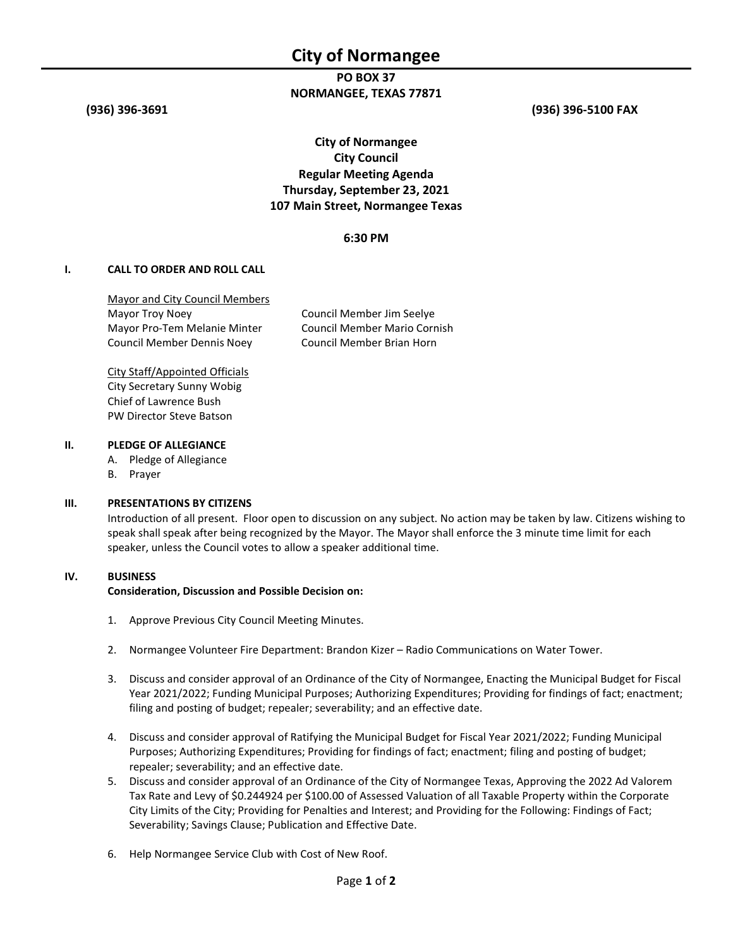## PO BOX 37 NORMANGEE, TEXAS 77871

(936) 396-3691 (936) 396-5100 FAX

# City of Normangee City Council Regular Meeting Agenda Thursday, September 23, 2021 107 Main Street, Normangee Texas

### 6:30 PM

#### I. CALL TO ORDER AND ROLL CALL

Mayor and City Council Members Mayor Troy Noey **Council Member Jim Seelye** Mayor Pro-Tem Melanie Minter Council Member Mario Cornish Council Member Dennis Noey Council Member Brian Horn

City Staff/Appointed Officials City Secretary Sunny Wobig Chief of Lawrence Bush PW Director Steve Batson

#### II. PLEDGE OF ALLEGIANCE

A. Pledge of Allegiance

B. Prayer

#### III. PRESENTATIONS BY CITIZENS

Introduction of all present. Floor open to discussion on any subject. No action may be taken by law. Citizens wishing to speak shall speak after being recognized by the Mayor. The Mayor shall enforce the 3 minute time limit for each speaker, unless the Council votes to allow a speaker additional time.

#### IV. BUSINESS

#### Consideration, Discussion and Possible Decision on:

- 1. Approve Previous City Council Meeting Minutes.
- 2. Normangee Volunteer Fire Department: Brandon Kizer Radio Communications on Water Tower.
- 3. Discuss and consider approval of an Ordinance of the City of Normangee, Enacting the Municipal Budget for Fiscal Year 2021/2022; Funding Municipal Purposes; Authorizing Expenditures; Providing for findings of fact; enactment; filing and posting of budget; repealer; severability; and an effective date.
- 4. Discuss and consider approval of Ratifying the Municipal Budget for Fiscal Year 2021/2022; Funding Municipal Purposes; Authorizing Expenditures; Providing for findings of fact; enactment; filing and posting of budget; repealer; severability; and an effective date.
- 5. Discuss and consider approval of an Ordinance of the City of Normangee Texas, Approving the 2022 Ad Valorem Tax Rate and Levy of \$0.244924 per \$100.00 of Assessed Valuation of all Taxable Property within the Corporate City Limits of the City; Providing for Penalties and Interest; and Providing for the Following: Findings of Fact; Severability; Savings Clause; Publication and Effective Date.
- 6. Help Normangee Service Club with Cost of New Roof.